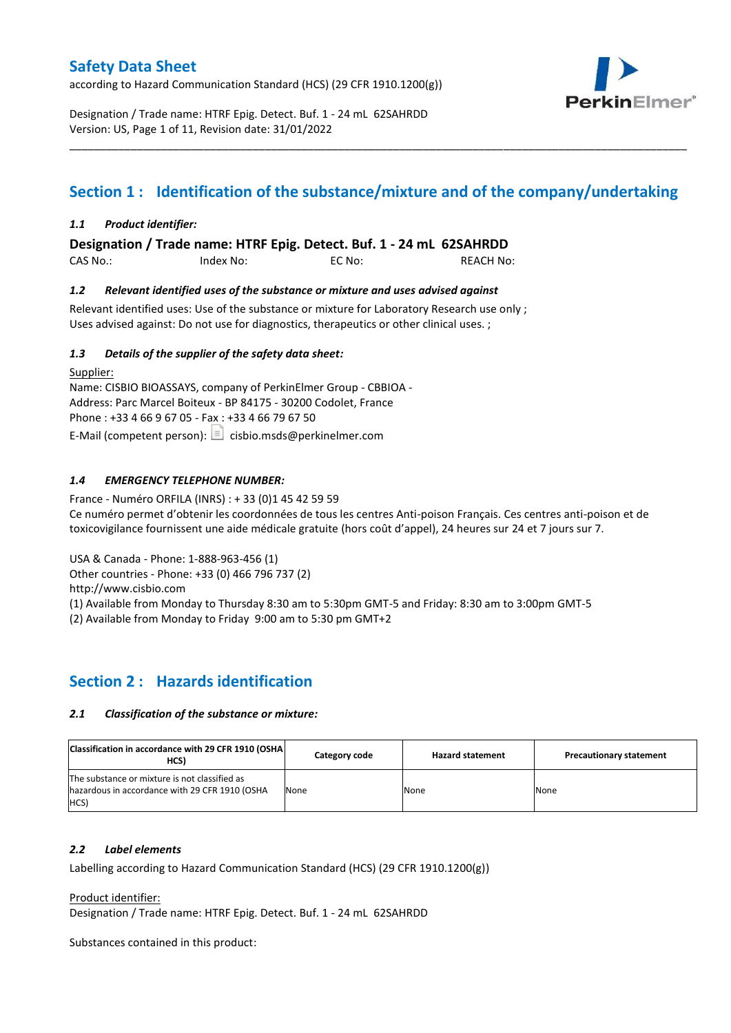according to Hazard Communication Standard (HCS) (29 CFR 1910.1200(g))



Designation / Trade name: HTRF Epig. Detect. Buf. 1 - 24 mL 62SAHRDD Version: US, Page 1 of 11, Revision date: 31/01/2022

# **Section 1 : Identification of the substance/mixture and of the company/undertaking**

\_\_\_\_\_\_\_\_\_\_\_\_\_\_\_\_\_\_\_\_\_\_\_\_\_\_\_\_\_\_\_\_\_\_\_\_\_\_\_\_\_\_\_\_\_\_\_\_\_\_\_\_\_\_\_\_\_\_\_\_\_\_\_\_\_\_\_\_\_\_\_\_\_\_\_\_\_\_\_\_\_\_\_\_\_\_\_\_\_\_\_\_\_\_\_\_\_\_\_\_\_

### *1.1 Product identifier:*

**Designation / Trade name: HTRF Epig. Detect. Buf. 1 - 24 mL 62SAHRDD** 

CAS No.: Index No: EC No: REACH No:

### *1.2 Relevant identified uses of the substance or mixture and uses advised against*

Relevant identified uses: Use of the substance or mixture for Laboratory Research use only ; Uses advised against: Do not use for diagnostics, therapeutics or other clinical uses. ;

### *1.3 Details of the supplier of the safety data sheet:*

Supplier: Name: CISBIO BIOASSAYS, company of PerkinElmer Group - CBBIOA - Address: Parc Marcel Boiteux - BP 84175 - 30200 Codolet, France Phone : +33 4 66 9 67 05 - Fax : +33 4 66 79 67 50 E-Mail (competent person):  $\boxed{\equiv}$  cisbio.msds@perkinelmer.com

### *1.4 EMERGENCY TELEPHONE NUMBER:*

France - Numéro ORFILA (INRS) : + 33 (0)1 45 42 59 59 Ce numéro permet d'obtenir les coordonnées de tous les centres Anti-poison Français. Ces centres anti-poison et de toxicovigilance fournissent une aide médicale gratuite (hors coût d'appel), 24 heures sur 24 et 7 jours sur 7.

USA & Canada - Phone: 1-888-963-456 (1)

Other countries - Phone: +33 (0) 466 796 737 (2)

http://www.cisbio.com

(1) Available from Monday to Thursday 8:30 am to 5:30pm GMT-5 and Friday: 8:30 am to 3:00pm GMT-5

(2) Available from Monday to Friday 9:00 am to 5:30 pm GMT+2

### **Section 2 : Hazards identification**

### *2.1 Classification of the substance or mixture:*

| Classification in accordance with 29 CFR 1910 (OSHA)<br>HCS)                                            | Category code | <b>Hazard statement</b> | <b>Precautionary statement</b> |
|---------------------------------------------------------------------------------------------------------|---------------|-------------------------|--------------------------------|
| The substance or mixture is not classified as<br>hazardous in accordance with 29 CFR 1910 (OSHA<br>HCS) | None          | None                    | None                           |

### *2.2 Label elements*

Labelling according to Hazard Communication Standard (HCS) (29 CFR 1910.1200(g))

Product identifier:

Designation / Trade name: HTRF Epig. Detect. Buf. 1 - 24 mL 62SAHRDD

Substances contained in this product: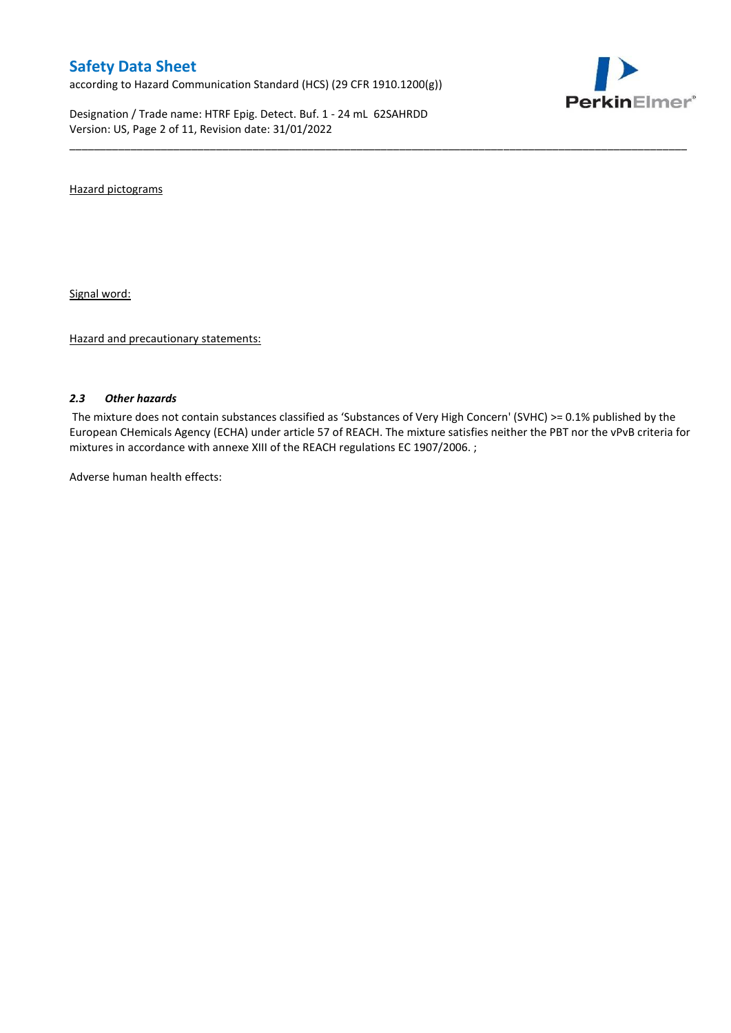according to Hazard Communication Standard (HCS) (29 CFR 1910.1200(g))

Designation / Trade name: HTRF Epig. Detect. Buf. 1 - 24 mL 62SAHRDD Version: US, Page 2 of 11, Revision date: 31/01/2022



Hazard pictograms

Signal word:

Hazard and precautionary statements:

### *2.3 Other hazards*

The mixture does not contain substances classified as 'Substances of Very High Concern' (SVHC) >= 0.1% published by the European CHemicals Agency (ECHA) under article 57 of REACH. The mixture satisfies neither the PBT nor the vPvB criteria for mixtures in accordance with annexe XIII of the REACH regulations EC 1907/2006. ;

\_\_\_\_\_\_\_\_\_\_\_\_\_\_\_\_\_\_\_\_\_\_\_\_\_\_\_\_\_\_\_\_\_\_\_\_\_\_\_\_\_\_\_\_\_\_\_\_\_\_\_\_\_\_\_\_\_\_\_\_\_\_\_\_\_\_\_\_\_\_\_\_\_\_\_\_\_\_\_\_\_\_\_\_\_\_\_\_\_\_\_\_\_\_\_\_\_\_\_\_\_

Adverse human health effects: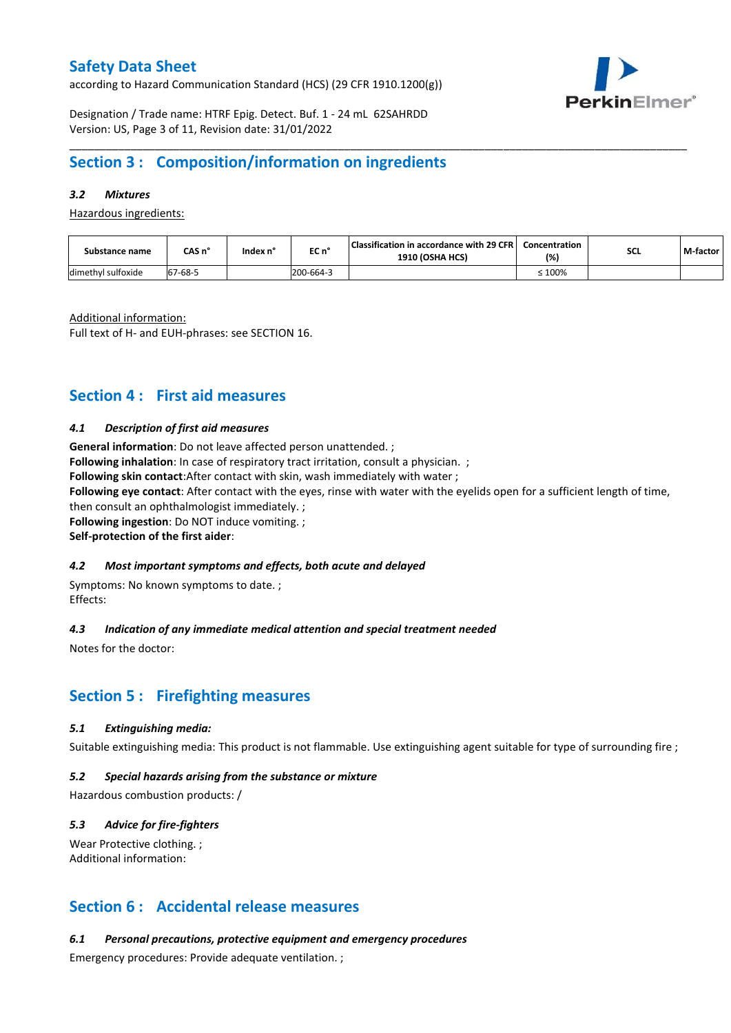according to Hazard Communication Standard (HCS) (29 CFR 1910.1200(g))



Designation / Trade name: HTRF Epig. Detect. Buf. 1 - 24 mL 62SAHRDD Version: US, Page 3 of 11, Revision date: 31/01/2022

## **Section 3 : Composition/information on ingredients**

### *3.2 Mixtures*

Hazardous ingredients:

| Substance name     | CAS n°  | Index n' | EC n°     | Classification in accordance with 29 CFR  <br><b>1910 (OSHA HCS)</b> | Concentration<br>(%) | <b>SCL</b> | M-factor |
|--------------------|---------|----------|-----------|----------------------------------------------------------------------|----------------------|------------|----------|
| dimethyl sulfoxide | 67-68-5 |          | 200-664-3 |                                                                      | $\leq 100\%$         |            |          |

\_\_\_\_\_\_\_\_\_\_\_\_\_\_\_\_\_\_\_\_\_\_\_\_\_\_\_\_\_\_\_\_\_\_\_\_\_\_\_\_\_\_\_\_\_\_\_\_\_\_\_\_\_\_\_\_\_\_\_\_\_\_\_\_\_\_\_\_\_\_\_\_\_\_\_\_\_\_\_\_\_\_\_\_\_\_\_\_\_\_\_\_\_\_\_\_\_\_\_\_\_

Additional information:

Full text of H- and EUH-phrases: see SECTION 16.

### **Section 4 : First aid measures**

### *4.1 Description of first aid measures*

**General information**: Do not leave affected person unattended. ; **Following inhalation**: In case of respiratory tract irritation, consult a physician. ;

**Following skin contact**:After contact with skin, wash immediately with water ;

**Following eye contact**: After contact with the eyes, rinse with water with the eyelids open for a sufficient length of time, then consult an ophthalmologist immediately. ;

**Following ingestion**: Do NOT induce vomiting. ;

**Self-protection of the first aider**:

### *4.2 Most important symptoms and effects, both acute and delayed*

Symptoms: No known symptoms to date. ; Effects:

### *4.3 Indication of any immediate medical attention and special treatment needed*

Notes for the doctor:

### **Section 5 : Firefighting measures**

### *5.1 Extinguishing media:*

Suitable extinguishing media: This product is not flammable. Use extinguishing agent suitable for type of surrounding fire ;

### *5.2 Special hazards arising from the substance or mixture*

Hazardous combustion products: /

### *5.3 Advice for fire-fighters*

Wear Protective clothing. ; Additional information:

### **Section 6 : Accidental release measures**

*6.1 Personal precautions, protective equipment and emergency procedures*

Emergency procedures: Provide adequate ventilation. ;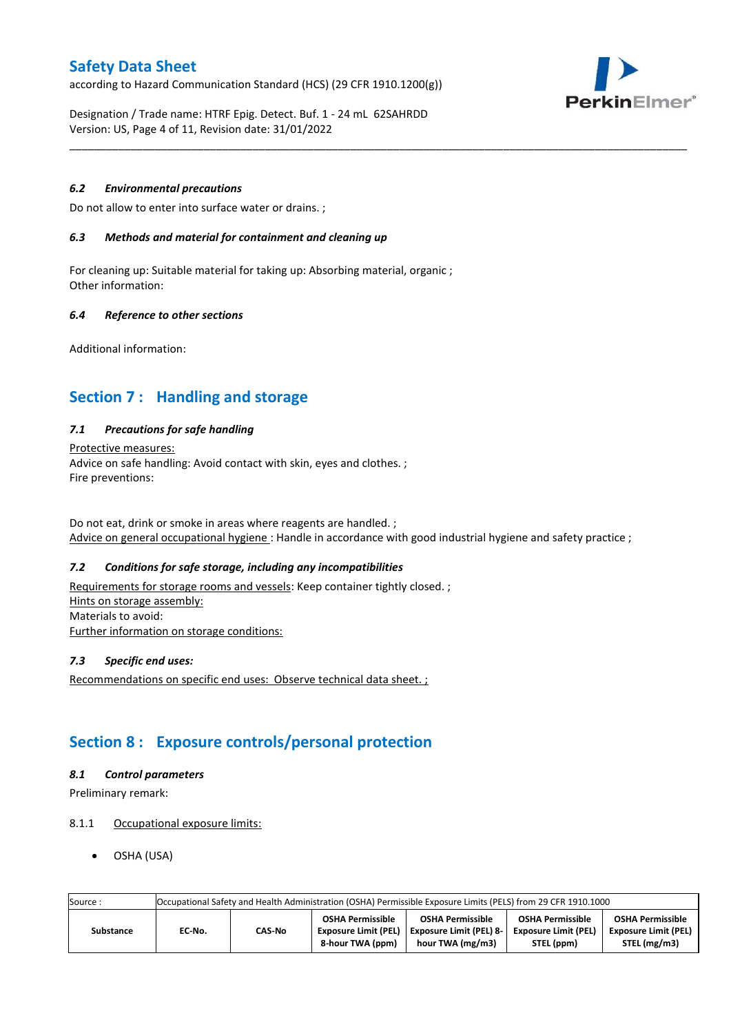according to Hazard Communication Standard (HCS) (29 CFR 1910.1200(g))



Designation / Trade name: HTRF Epig. Detect. Buf. 1 - 24 mL 62SAHRDD Version: US, Page 4 of 11, Revision date: 31/01/2022

### *6.2 Environmental precautions*

Do not allow to enter into surface water or drains. ;

### *6.3 Methods and material for containment and cleaning up*

For cleaning up: Suitable material for taking up: Absorbing material, organic ; Other information:

### *6.4 Reference to other sections*

Additional information:

# **Section 7 : Handling and storage**

### *7.1 Precautions for safe handling*

#### Protective measures:

Advice on safe handling: Avoid contact with skin, eyes and clothes. ; Fire preventions:

Do not eat, drink or smoke in areas where reagents are handled. ; Advice on general occupational hygiene : Handle in accordance with good industrial hygiene and safety practice ;

\_\_\_\_\_\_\_\_\_\_\_\_\_\_\_\_\_\_\_\_\_\_\_\_\_\_\_\_\_\_\_\_\_\_\_\_\_\_\_\_\_\_\_\_\_\_\_\_\_\_\_\_\_\_\_\_\_\_\_\_\_\_\_\_\_\_\_\_\_\_\_\_\_\_\_\_\_\_\_\_\_\_\_\_\_\_\_\_\_\_\_\_\_\_\_\_\_\_\_\_\_

### *7.2 Conditions for safe storage, including any incompatibilities*

Requirements for storage rooms and vessels: Keep container tightly closed.; Hints on storage assembly: Materials to avoid: Further information on storage conditions:

### *7.3 Specific end uses:*

Recommendations on specific end uses: Observe technical data sheet. ;

## **Section 8 : Exposure controls/personal protection**

### *8.1 Control parameters*

Preliminary remark:

### 8.1.1 Occupational exposure limits:

OSHA (USA)

| Source:   |        | Occupational Safety and Health Administration (OSHA) Permissible Exposure Limits (PELS) from 29 CFR 1910.1000 |                                                                     |                                                                               |                                                                      |                                                                        |  |  |  |  |  |
|-----------|--------|---------------------------------------------------------------------------------------------------------------|---------------------------------------------------------------------|-------------------------------------------------------------------------------|----------------------------------------------------------------------|------------------------------------------------------------------------|--|--|--|--|--|
| Substance | EC No. | CAS-No                                                                                                        | <b>OSHA Permissible</b><br>Exposure Limit (PEL)<br>8-hour TWA (ppm) | <b>OSHA Permissible</b><br><b>Exposure Limit (PEL) 8-</b><br>hour TWA (mg/m3) | <b>OSHA Permissible</b><br><b>Exposure Limit (PEL)</b><br>STEL (ppm) | <b>OSHA Permissible</b><br><b>Exposure Limit (PEL)</b><br>STEL (mg/m3) |  |  |  |  |  |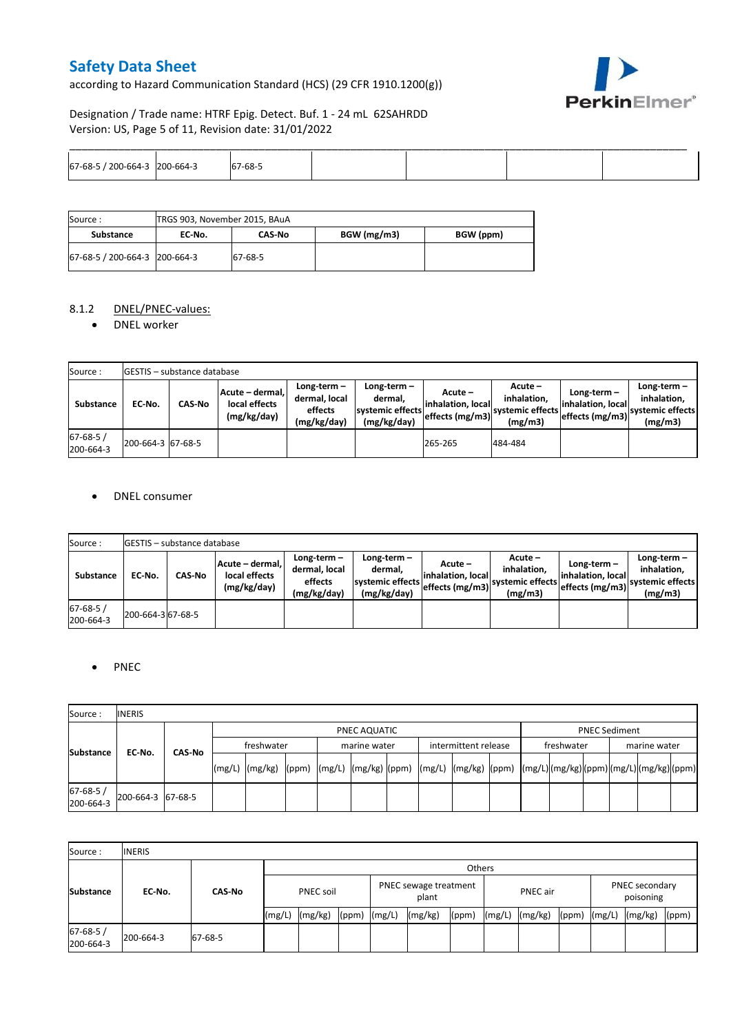according to Hazard Communication Standard (HCS) (29 CFR 1910.1200(g))



Designation / Trade name: HTRF Epig. Detect. Buf. 1 - 24 mL 62SAHRDD Version: US, Page 5 of 11, Revision date: 31/01/2022

| 67-68-<br>200<br>$-hh + -$ | )-664-3 | $-68-5$<br>. . |  |  |
|----------------------------|---------|----------------|--|--|

| Source:                       | TRGS 903, November 2015, BAuA |         |             |           |
|-------------------------------|-------------------------------|---------|-------------|-----------|
| Substance                     | EC No.                        | CAS No  | BGW (mg/m3) | BGW (ppm) |
| 67-68-5 / 200-664-3 200-664-3 |                               | 67-68-5 |             |           |

### 8.1.2 DNEL/PNEC-values:

DNEL worker

| Source:                     |                   | <b>IGESTIS – substance database</b> |                                                 |                                                          |                                                           |                                                  |                                                       |                                                        |                                                             |
|-----------------------------|-------------------|-------------------------------------|-------------------------------------------------|----------------------------------------------------------|-----------------------------------------------------------|--------------------------------------------------|-------------------------------------------------------|--------------------------------------------------------|-------------------------------------------------------------|
| Substance                   | EC No.            | <b>CAS-No</b>                       | Acute - dermal.<br>local effects<br>(mg/kg/day) | $Long-term -$<br>dermal, local<br>effects<br>(mg/kg/day) | Long-term –<br>dermal,<br>systemic effects<br>(mg/kg/day) | Acute –<br>linhalation. local<br>effects (mg/m3) | Acute -<br>inhalation.<br>svstemic effects<br>(mg/m3) | $Long-term -$<br>linhalation. local<br>effects (mg/m3) | $Long-term -$<br>inhalation,<br>systemic effects<br>(mg/m3) |
| $67 - 68 - 5/$<br>200-664-3 | 200-664-3 67-68-5 |                                     |                                                 |                                                          |                                                           | 265-265                                          | 484-484                                               |                                                        |                                                             |

### DNEL consumer

| Source:                    |                   | <b>IGESTIS - substance database</b> |                                                 |                                                          |                                                             |                                                  |                                                         |                                                      |                                                             |
|----------------------------|-------------------|-------------------------------------|-------------------------------------------------|----------------------------------------------------------|-------------------------------------------------------------|--------------------------------------------------|---------------------------------------------------------|------------------------------------------------------|-------------------------------------------------------------|
| <b>Substance</b>           | EC No.            | <b>CAS-No</b>                       | Acute - dermal.<br>local effects<br>(mg/kg/day) | $Long-term -$<br>dermal. local<br>effects<br>(mg/kg/day) | $Long-term -$<br>dermal.<br>systemic effects<br>(mg/kg/day) | Acute –<br>linhalation. local<br>effects (mg/m3) | $Acute -$<br>inhalation.<br>systemic effects<br>(mg/m3) | Long-term –<br>linhalation. local<br>effects (mg/m3) | $Long-term -$<br>inhalation.<br>systemic effects<br>(mg/m3) |
| $67 - 68 - 5$<br>200-664-3 | 200-664-3 67-68-5 |                                     |                                                 |                                                          |                                                             |                                                  |                                                         |                                                      |                                                             |

### • PNEC

| Source:               | <b>INERIS</b>     |        |        |                                                                                                                                                                                                                                                                                |  |  |              |  |  |                      |  |  |            |  |  |              |  |
|-----------------------|-------------------|--------|--------|--------------------------------------------------------------------------------------------------------------------------------------------------------------------------------------------------------------------------------------------------------------------------------|--|--|--------------|--|--|----------------------|--|--|------------|--|--|--------------|--|
|                       |                   |        |        | PNEC AQUATIC                                                                                                                                                                                                                                                                   |  |  |              |  |  | <b>PNEC Sediment</b> |  |  |            |  |  |              |  |
|                       | EC-No.            | CAS-No |        | freshwater                                                                                                                                                                                                                                                                     |  |  | marine water |  |  | intermittent release |  |  | freshwater |  |  | marine water |  |
| <b>Substance</b>      |                   |        | (mg/L) | $\left[\frac{mg}{kg}\right]_{\text{(ppm)}}$ $\left[\frac{mg}{L}\right]_{\text{(mg/kg)}}$ $\left[\frac{mg}{kg}\right]_{\text{(mg/kg)}}$ $\left[\frac{mg}{kg}\right]_{\text{(mg/kg)}}$ $\left[\frac{mg}{kg}\right]_{\text{(ppm)}}$ $\left[\frac{mg}{kg}\right]_{\text{(mg/kg)}}$ |  |  |              |  |  |                      |  |  |            |  |  |              |  |
| 67-68-5/<br>200-664-3 | 200-664-3 67-68-5 |        |        |                                                                                                                                                                                                                                                                                |  |  |              |  |  |                      |  |  |            |  |  |              |  |

| Source:                     | <b>INERIS</b>           |         |                  |         |                                |        |          |       |        |                             |       |        |         |       |
|-----------------------------|-------------------------|---------|------------------|---------|--------------------------------|--------|----------|-------|--------|-----------------------------|-------|--------|---------|-------|
|                             |                         |         |                  | Others  |                                |        |          |       |        |                             |       |        |         |       |
| <b>Substance</b>            | <b>CAS-No</b><br>EC-No. |         | <b>PNEC soil</b> |         | PNEC sewage treatment<br>plant |        | PNEC air |       |        | PNEC secondary<br>poisoning |       |        |         |       |
|                             |                         |         | (mg/L)           | (mg/kg) | (ppm)                          | (mg/L) | (mg/kg)  | (ppm) | (mg/L) | (mg/kg)                     | (ppm) | (mg/L) | (mg/kg) | (ppm) |
| $67 - 68 - 5/$<br>200-664-3 | 200-664-3               | 67-68-5 |                  |         |                                |        |          |       |        |                             |       |        |         |       |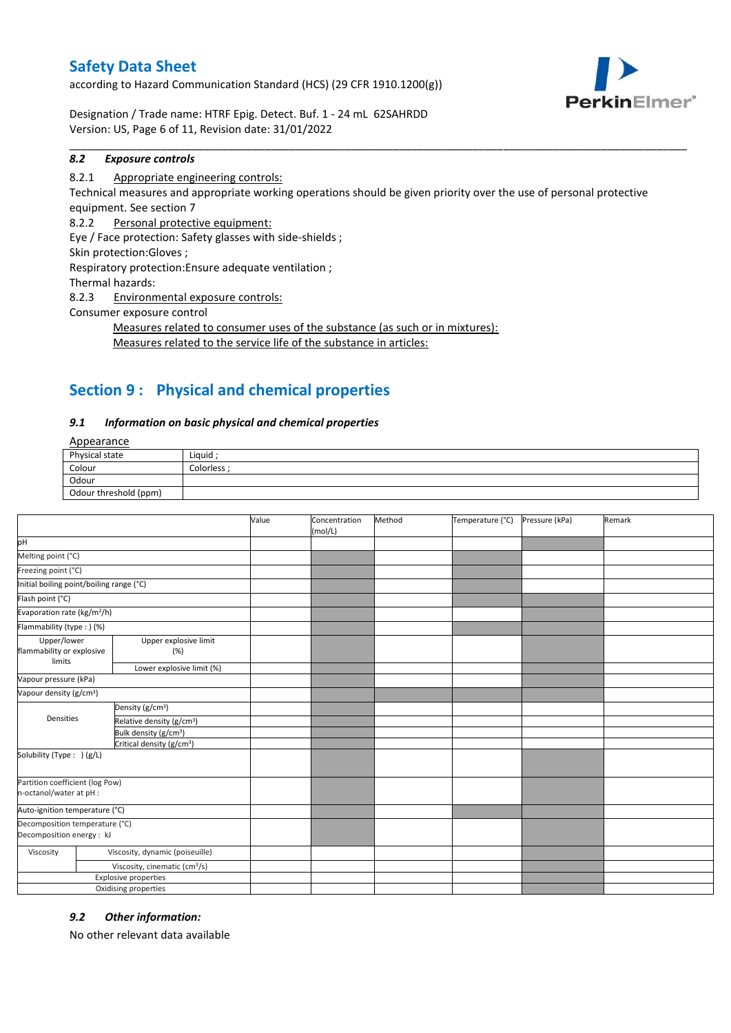according to Hazard Communication Standard (HCS) (29 CFR 1910.1200(g))



Designation / Trade name: HTRF Epig. Detect. Buf. 1 - 24 mL 62SAHRDD Version: US, Page 6 of 11, Revision date: 31/01/2022

### *8.2 Exposure controls*

### 8.2.1 Appropriate engineering controls:

Technical measures and appropriate working operations should be given priority over the use of personal protective equipment. See section 7

\_\_\_\_\_\_\_\_\_\_\_\_\_\_\_\_\_\_\_\_\_\_\_\_\_\_\_\_\_\_\_\_\_\_\_\_\_\_\_\_\_\_\_\_\_\_\_\_\_\_\_\_\_\_\_\_\_\_\_\_\_\_\_\_\_\_\_\_\_\_\_\_\_\_\_\_\_\_\_\_\_\_\_\_\_\_\_\_\_\_\_\_\_\_\_\_\_\_\_\_\_

8.2.2 Personal protective equipment:

Eye / Face protection: Safety glasses with side-shields ;

Skin protection:Gloves ;

Respiratory protection:Ensure adequate ventilation ;

Thermal hazards:

8.2.3 Environmental exposure controls:

Consumer exposure control

Measures related to consumer uses of the substance (as such or in mixtures): Measures related to the service life of the substance in articles:

# **Section 9 : Physical and chemical properties**

### *9.1 Information on basic physical and chemical properties*

Appearance

| $-100$                |           |
|-----------------------|-----------|
| Physical state        | Liquid    |
| Colour                | Colorless |
| Odour                 |           |
| Odour threshold (ppm) |           |

|                                                             |                                           | Value | Concentration<br>(mol/L) | Method | Temperature (°C) | Pressure (kPa) | Remark |
|-------------------------------------------------------------|-------------------------------------------|-------|--------------------------|--------|------------------|----------------|--------|
| pH                                                          |                                           |       |                          |        |                  |                |        |
| Melting point (°C)                                          |                                           |       |                          |        |                  |                |        |
| Freezing point (°C)                                         |                                           |       |                          |        |                  |                |        |
| Initial boiling point/boiling range (°C)                    |                                           |       |                          |        |                  |                |        |
| Flash point (°C)                                            |                                           |       |                          |        |                  |                |        |
|                                                             | Evaporation rate (kg/m <sup>2</sup> /h)   |       |                          |        |                  |                |        |
| Flammability (type: ) (%)                                   |                                           |       |                          |        |                  |                |        |
| Upper/lower<br>flammability or explosive<br>limits          | Upper explosive limit<br>(%)              |       |                          |        |                  |                |        |
|                                                             | Lower explosive limit (%)                 |       |                          |        |                  |                |        |
| Vapour pressure (kPa)                                       |                                           |       |                          |        |                  |                |        |
| Vapour density (g/cm <sup>3</sup> )                         |                                           |       |                          |        |                  |                |        |
|                                                             | Density (g/cm <sup>3</sup> )              |       |                          |        |                  |                |        |
| Densities                                                   | Relative density (g/cm <sup>3</sup> )     |       |                          |        |                  |                |        |
|                                                             | Bulk density (g/cm <sup>3</sup> )         |       |                          |        |                  |                |        |
|                                                             | Critical density (g/cm <sup>3</sup> )     |       |                          |        |                  |                |        |
| Solubility (Type: ) (g/L)                                   |                                           |       |                          |        |                  |                |        |
| Partition coefficient (log Pow)<br>n-octanol/water at pH :  |                                           |       |                          |        |                  |                |        |
| Auto-ignition temperature (°C)                              |                                           |       |                          |        |                  |                |        |
| Decomposition temperature (°C)<br>Decomposition energy : kJ |                                           |       |                          |        |                  |                |        |
| Viscosity                                                   | Viscosity, dynamic (poiseuille)           |       |                          |        |                  |                |        |
|                                                             | Viscosity, cinematic (cm <sup>3</sup> /s) |       |                          |        |                  |                |        |
|                                                             | <b>Explosive properties</b>               |       |                          |        |                  |                |        |
|                                                             | Oxidising properties                      |       |                          |        |                  |                |        |

### *9.2 Other information:*

No other relevant data available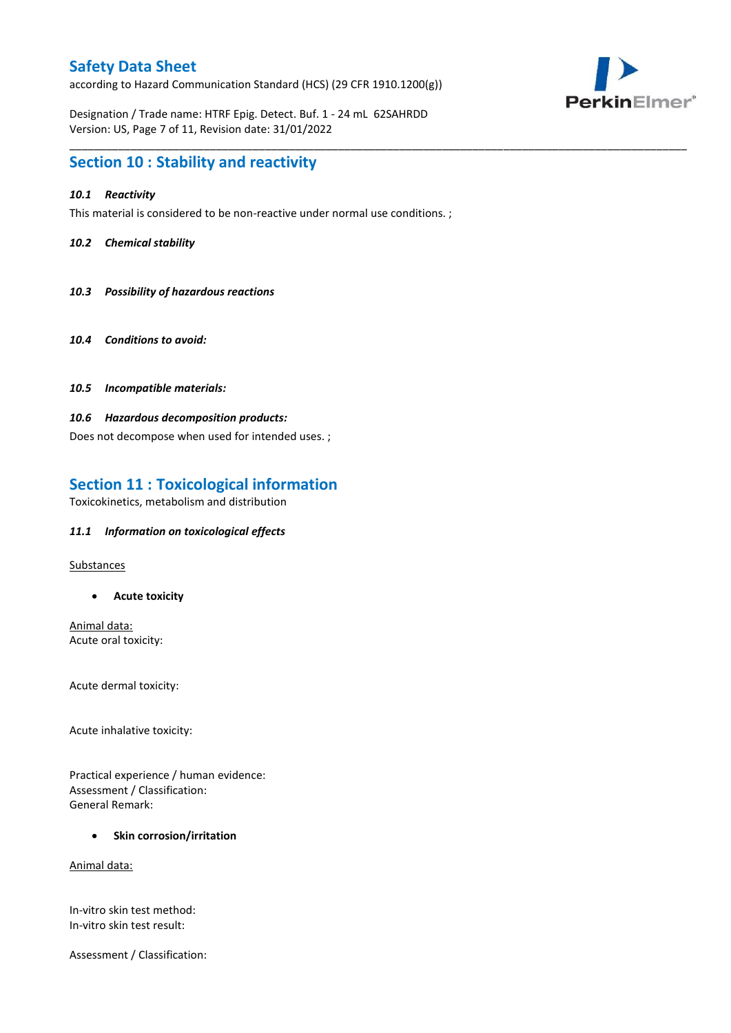according to Hazard Communication Standard (HCS) (29 CFR 1910.1200(g))



Designation / Trade name: HTRF Epig. Detect. Buf. 1 - 24 mL 62SAHRDD Version: US, Page 7 of 11, Revision date: 31/01/2022

### **Section 10 : Stability and reactivity**

### *10.1 Reactivity*

This material is considered to be non-reactive under normal use conditions. ;

\_\_\_\_\_\_\_\_\_\_\_\_\_\_\_\_\_\_\_\_\_\_\_\_\_\_\_\_\_\_\_\_\_\_\_\_\_\_\_\_\_\_\_\_\_\_\_\_\_\_\_\_\_\_\_\_\_\_\_\_\_\_\_\_\_\_\_\_\_\_\_\_\_\_\_\_\_\_\_\_\_\_\_\_\_\_\_\_\_\_\_\_\_\_\_\_\_\_\_\_\_

### *10.2 Chemical stability*

- *10.3 Possibility of hazardous reactions*
- *10.4 Conditions to avoid:*
- *10.5 Incompatible materials:*

### *10.6 Hazardous decomposition products:*

Does not decompose when used for intended uses. ;

# **Section 11 : Toxicological information**

Toxicokinetics, metabolism and distribution

### *11.1 Information on toxicological effects*

Substances

**Acute toxicity**

Animal data: Acute oral toxicity:

Acute dermal toxicity:

Acute inhalative toxicity:

Practical experience / human evidence: Assessment / Classification: General Remark:

### **•** Skin corrosion/irritation

Animal data:

In-vitro skin test method: In-vitro skin test result:

Assessment / Classification: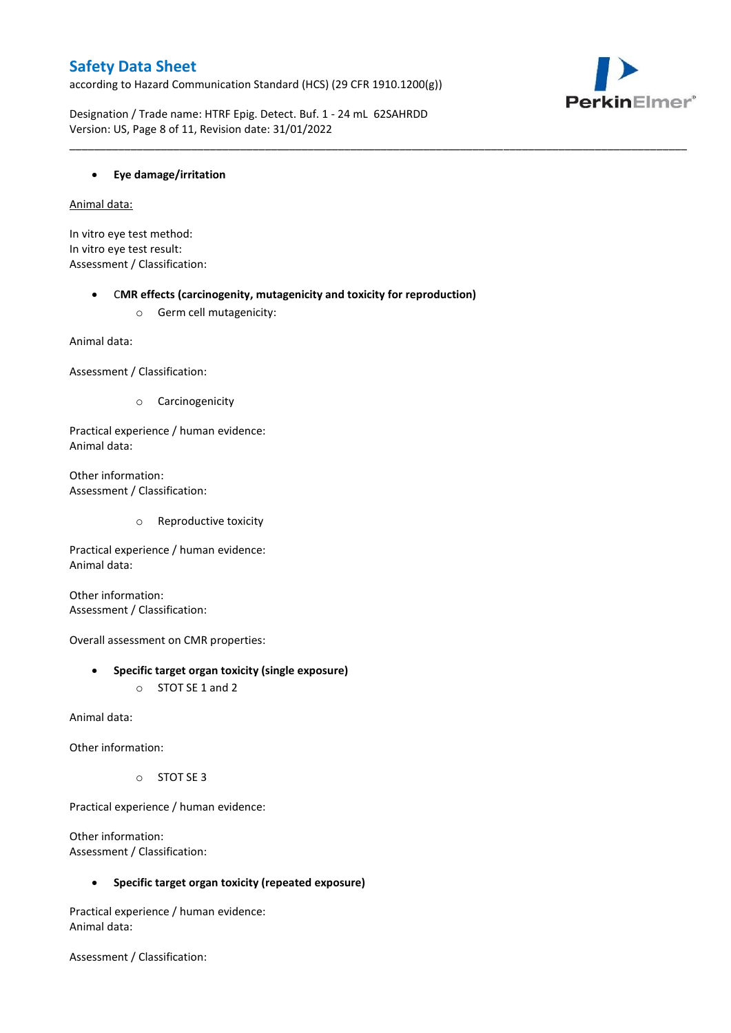according to Hazard Communication Standard (HCS) (29 CFR 1910.1200(g))



Designation / Trade name: HTRF Epig. Detect. Buf. 1 - 24 mL 62SAHRDD Version: US, Page 8 of 11, Revision date: 31/01/2022

### **Eye damage/irritation**

Animal data:

In vitro eye test method: In vitro eye test result: Assessment / Classification:

C**MR effects (carcinogenity, mutagenicity and toxicity for reproduction)**

\_\_\_\_\_\_\_\_\_\_\_\_\_\_\_\_\_\_\_\_\_\_\_\_\_\_\_\_\_\_\_\_\_\_\_\_\_\_\_\_\_\_\_\_\_\_\_\_\_\_\_\_\_\_\_\_\_\_\_\_\_\_\_\_\_\_\_\_\_\_\_\_\_\_\_\_\_\_\_\_\_\_\_\_\_\_\_\_\_\_\_\_\_\_\_\_\_\_\_\_\_

o Germ cell mutagenicity:

Animal data:

Assessment / Classification:

o Carcinogenicity

Practical experience / human evidence: Animal data:

Other information: Assessment / Classification:

o Reproductive toxicity

Practical experience / human evidence: Animal data:

Other information: Assessment / Classification:

Overall assessment on CMR properties:

- **Specific target organ toxicity (single exposure)**
	- o STOT SE 1 and 2

Animal data:

Other information:

o STOT SE 3

Practical experience / human evidence:

Other information: Assessment / Classification:

**Specific target organ toxicity (repeated exposure)**

Practical experience / human evidence: Animal data:

Assessment / Classification: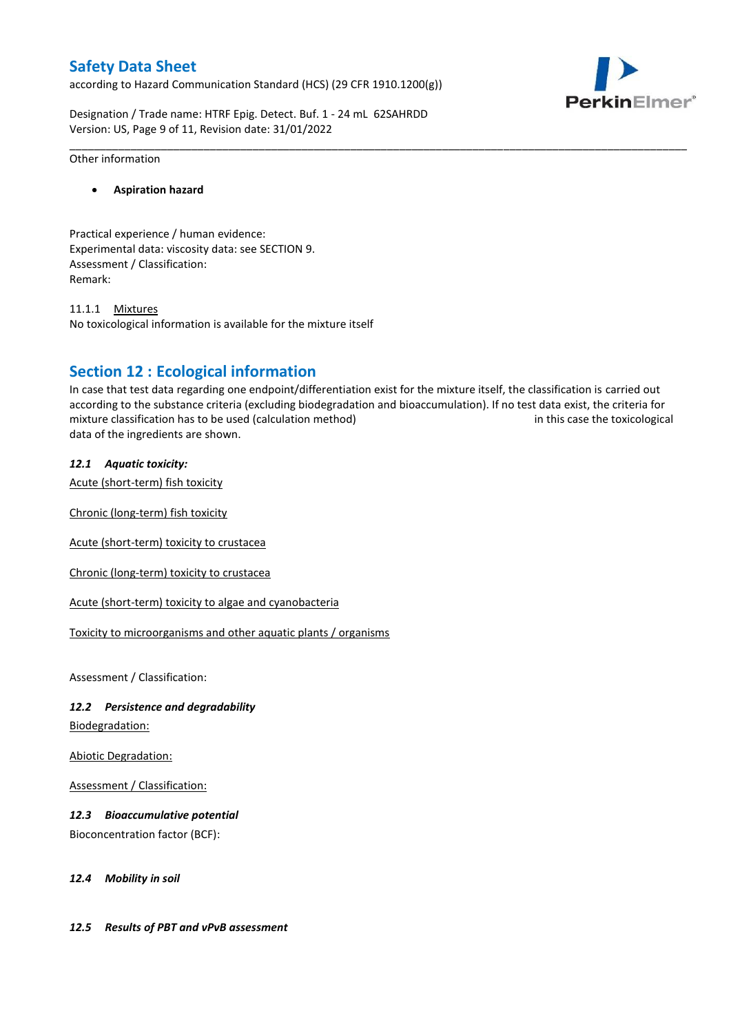according to Hazard Communication Standard (HCS) (29 CFR 1910.1200(g))



Designation / Trade name: HTRF Epig. Detect. Buf. 1 - 24 mL 62SAHRDD Version: US, Page 9 of 11, Revision date: 31/01/2022

#### Other information

### **Aspiration hazard**

Practical experience / human evidence: Experimental data: viscosity data: see SECTION 9. Assessment / Classification: Remark:

11.1.1 Mixtures No toxicological information is available for the mixture itself

## **Section 12 : Ecological information**

In case that test data regarding one endpoint/differentiation exist for the mixture itself, the classification is carried out according to the substance criteria (excluding biodegradation and bioaccumulation). If no test data exist, the criteria for mixture classification has to be used (calculation method) in this case the toxicological data of the ingredients are shown.

\_\_\_\_\_\_\_\_\_\_\_\_\_\_\_\_\_\_\_\_\_\_\_\_\_\_\_\_\_\_\_\_\_\_\_\_\_\_\_\_\_\_\_\_\_\_\_\_\_\_\_\_\_\_\_\_\_\_\_\_\_\_\_\_\_\_\_\_\_\_\_\_\_\_\_\_\_\_\_\_\_\_\_\_\_\_\_\_\_\_\_\_\_\_\_\_\_\_\_\_\_

### *12.1 Aquatic toxicity:*

Acute (short-term) fish toxicity

Chronic (long-term) fish toxicity

Acute (short-term) toxicity to crustacea

Chronic (long-term) toxicity to crustacea

Acute (short-term) toxicity to algae and cyanobacteria

Toxicity to microorganisms and other aquatic plants / organisms

Assessment / Classification:

### *12.2 Persistence and degradability*

Biodegradation:

Abiotic Degradation:

Assessment / Classification:

### *12.3 Bioaccumulative potential*

Bioconcentration factor (BCF):

*12.4 Mobility in soil*

### *12.5 Results of PBT and vPvB assessment*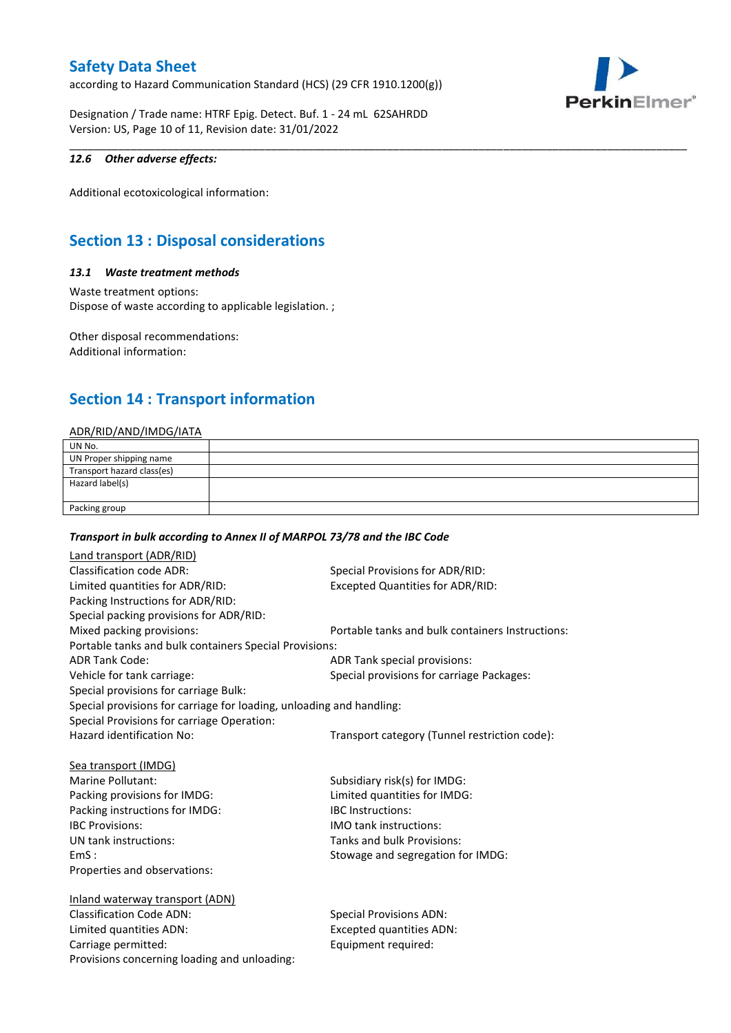according to Hazard Communication Standard (HCS) (29 CFR 1910.1200(g))



Designation / Trade name: HTRF Epig. Detect. Buf. 1 - 24 mL 62SAHRDD Version: US, Page 10 of 11, Revision date: 31/01/2022

### *12.6 Other adverse effects:*

Additional ecotoxicological information:

# **Section 13 : Disposal considerations**

### *13.1 Waste treatment methods*

Waste treatment options: Dispose of waste according to applicable legislation. ;

Other disposal recommendations: Additional information:

# **Section 14 : Transport information**

### ADR/RID/AND/IMDG/IATA

| UN No.                     |  |
|----------------------------|--|
| UN Proper shipping name    |  |
| Transport hazard class(es) |  |
| Hazard label(s)            |  |
|                            |  |
| Packing group              |  |

\_\_\_\_\_\_\_\_\_\_\_\_\_\_\_\_\_\_\_\_\_\_\_\_\_\_\_\_\_\_\_\_\_\_\_\_\_\_\_\_\_\_\_\_\_\_\_\_\_\_\_\_\_\_\_\_\_\_\_\_\_\_\_\_\_\_\_\_\_\_\_\_\_\_\_\_\_\_\_\_\_\_\_\_\_\_\_\_\_\_\_\_\_\_\_\_\_\_\_\_\_

#### *Transport in bulk according to Annex II of MARPOL 73/78 and the IBC Code*

| Land transport (ADR/RID)                                             |                                                  |  |
|----------------------------------------------------------------------|--------------------------------------------------|--|
| <b>Classification code ADR:</b>                                      | Special Provisions for ADR/RID:                  |  |
| Limited quantities for ADR/RID:                                      | <b>Excepted Quantities for ADR/RID:</b>          |  |
| Packing Instructions for ADR/RID:                                    |                                                  |  |
| Special packing provisions for ADR/RID:                              |                                                  |  |
| Mixed packing provisions:                                            | Portable tanks and bulk containers Instructions: |  |
| Portable tanks and bulk containers Special Provisions:               |                                                  |  |
| <b>ADR Tank Code:</b>                                                | ADR Tank special provisions:                     |  |
| Vehicle for tank carriage:                                           | Special provisions for carriage Packages:        |  |
| Special provisions for carriage Bulk:                                |                                                  |  |
| Special provisions for carriage for loading, unloading and handling: |                                                  |  |
| Special Provisions for carriage Operation:                           |                                                  |  |
| Hazard identification No:                                            | Transport category (Tunnel restriction code):    |  |
|                                                                      |                                                  |  |
| Sea transport (IMDG)                                                 |                                                  |  |
| Marine Pollutant:                                                    | Subsidiary risk(s) for IMDG:                     |  |
| Packing provisions for IMDG:                                         | Limited quantities for IMDG:                     |  |
| Packing instructions for IMDG:                                       | <b>IBC</b> Instructions:                         |  |
| <b>IBC Provisions:</b>                                               | <b>IMO tank instructions:</b>                    |  |
| UN tank instructions:                                                | Tanks and bulk Provisions:                       |  |
| EmS:                                                                 | Stowage and segregation for IMDG:                |  |
| Properties and observations:                                         |                                                  |  |
|                                                                      |                                                  |  |
| Inland waterway transport (ADN)                                      |                                                  |  |
| <b>Classification Code ADN:</b>                                      | <b>Special Provisions ADN:</b>                   |  |
| Limited quantities ADN:                                              | <b>Excepted quantities ADN:</b>                  |  |
| Carriage permitted:                                                  | Equipment required:                              |  |
| Provisions concerning loading and unloading:                         |                                                  |  |